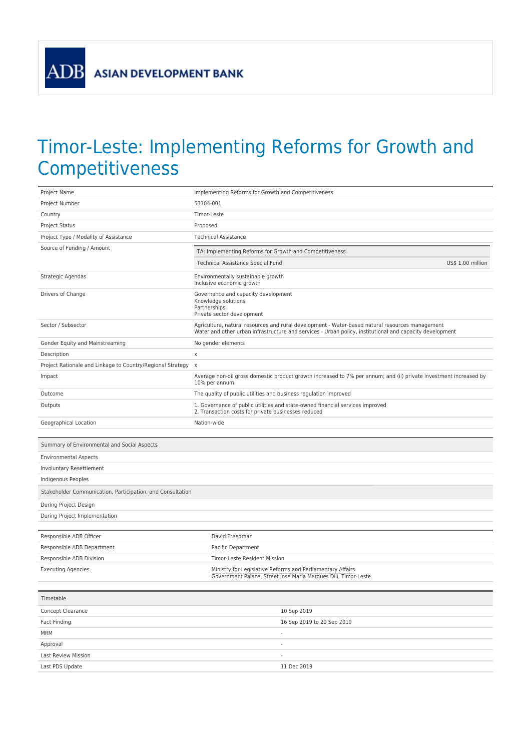**ASIAN DEVELOPMENT BANK** 

**ADB** 

## Timor-Leste: Implementing Reforms for Growth and **Competitiveness**

| Project Name                                                 | Implementing Reforms for Growth and Competitiveness                                                                                                                                                         |
|--------------------------------------------------------------|-------------------------------------------------------------------------------------------------------------------------------------------------------------------------------------------------------------|
| Project Number                                               | 53104-001                                                                                                                                                                                                   |
| Country                                                      | Timor-Leste                                                                                                                                                                                                 |
| Project Status                                               | Proposed                                                                                                                                                                                                    |
| Project Type / Modality of Assistance                        | <b>Technical Assistance</b>                                                                                                                                                                                 |
| Source of Funding / Amount                                   | TA: Implementing Reforms for Growth and Competitiveness                                                                                                                                                     |
|                                                              | Technical Assistance Special Fund<br>US\$ 1.00 million                                                                                                                                                      |
| Strategic Agendas                                            | Environmentally sustainable growth<br>Inclusive economic growth                                                                                                                                             |
| Drivers of Change                                            | Governance and capacity development<br>Knowledge solutions<br>Partnerships<br>Private sector development                                                                                                    |
| Sector / Subsector                                           | Agriculture, natural resources and rural development - Water-based natural resources management<br>Water and other urban infrastructure and services - Urban policy, institutional and capacity development |
| Gender Equity and Mainstreaming                              | No gender elements                                                                                                                                                                                          |
| Description                                                  | X                                                                                                                                                                                                           |
| Project Rationale and Linkage to Country/Regional Strategy x |                                                                                                                                                                                                             |
| Impact                                                       | Average non-oil gross domestic product growth increased to 7% per annum; and (ii) private investment increased by<br>10% per annum                                                                          |
| Outcome                                                      | The quality of public utilities and business regulation improved                                                                                                                                            |
| Outputs                                                      | 1. Governance of public utilities and state-owned financial services improved<br>2. Transaction costs for private businesses reduced                                                                        |
| Geographical Location                                        | Nation-wide                                                                                                                                                                                                 |
|                                                              |                                                                                                                                                                                                             |
| Summary of Environmental and Social Aspects                  |                                                                                                                                                                                                             |
| <b>Environmental Aspects</b>                                 |                                                                                                                                                                                                             |
| Involuntary Resettlement                                     |                                                                                                                                                                                                             |
| Indigenous Peoples                                           |                                                                                                                                                                                                             |
| Stakeholder Communication, Participation, and Consultation   |                                                                                                                                                                                                             |
| During Project Design                                        |                                                                                                                                                                                                             |
|                                                              |                                                                                                                                                                                                             |
| During Project Implementation                                |                                                                                                                                                                                                             |
|                                                              |                                                                                                                                                                                                             |
| Responsible ADB Officer                                      | David Freedman                                                                                                                                                                                              |
| Responsible ADB Department                                   | Pacific Department                                                                                                                                                                                          |
| Responsible ADB Division                                     | Timor-Leste Resident Mission                                                                                                                                                                                |
| <b>Executing Agencies</b>                                    | Ministry for Legislative Reforms and Parliamentary Affairs<br>Government Palace, Street Jose Maria Marques Dili, Timor-Leste                                                                                |
| Timetable                                                    |                                                                                                                                                                                                             |
| Concept Clearance                                            | 10 Sep 2019                                                                                                                                                                                                 |
| Fact Finding                                                 | 16 Sep 2019 to 20 Sep 2019                                                                                                                                                                                  |
| <b>MRM</b>                                                   | ÷,                                                                                                                                                                                                          |
| Approval                                                     |                                                                                                                                                                                                             |
| Last Review Mission                                          | ÷                                                                                                                                                                                                           |